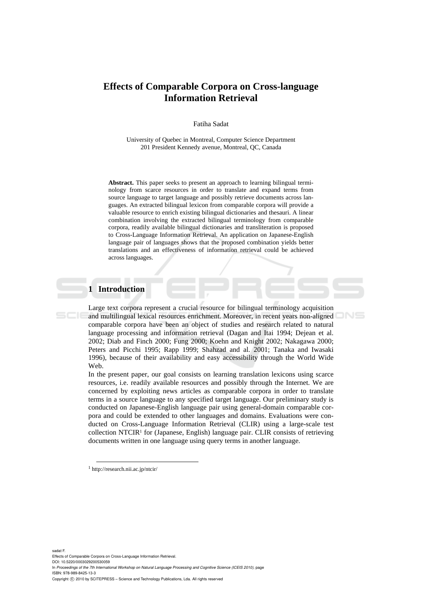# **Effects of Comparable Corpora on Cross-language Information Retrieval**

Fatiha Sadat

University of Quebec in Montreal, Computer Science Department 201 President Kennedy avenue, Montreal, QC, Canada

**Abstract.** This paper seeks to present an approach to learning bilingual terminology from scarce resources in order to translate and expand terms from source language to target language and possibly retrieve documents across languages. An extracted bilingual lexicon from comparable corpora will provide a valuable resource to enrich existing bilingual dictionaries and thesauri. A linear combination involving the extracted bilingual terminology from comparable corpora, readily available bilingual dictionaries and transliteration is proposed to Cross-Language Information Retrieval. An application on Japanese-English language pair of languages shows that the proposed combination yields better translations and an effectiveness of information retrieval could be achieved across languages.

## **1 Introduction**

Large text corpora represent a crucial resource for bilingual terminology acquisition and multilingual lexical resources enrichment. Moreover, in recent years non-aligned comparable corpora have been an object of studies and research related to natural language processing and information retrieval (Dagan and Itai 1994; Dejean et al. 2002; Diab and Finch 2000; Fung 2000; Koehn and Knight 2002; Nakagawa 2000; Peters and Picchi 1995; Rapp 1999; Shahzad and al. 2001; Tanaka and Iwasaki 1996), because of their availability and easy accessibility through the World Wide Web.

In the present paper, our goal consists on learning translation lexicons using scarce resources, i.e. readily available resources and possibly through the Internet. We are concerned by exploiting news articles as comparable corpora in order to translate terms in a source language to any specified target language. Our preliminary study is conducted on Japanese-English language pair using general-domain comparable corpora and could be extended to other languages and domains. Evaluations were conducted on Cross-Language Information Retrieval (CLIR) using a large-scale test collection NTCIR<sup>1</sup> for (Japanese, English) language pair. CLIR consists of retrieving documents written in one language using query terms in another language.

1 http://research.nii.ac.jp/ntcir/

sadat F.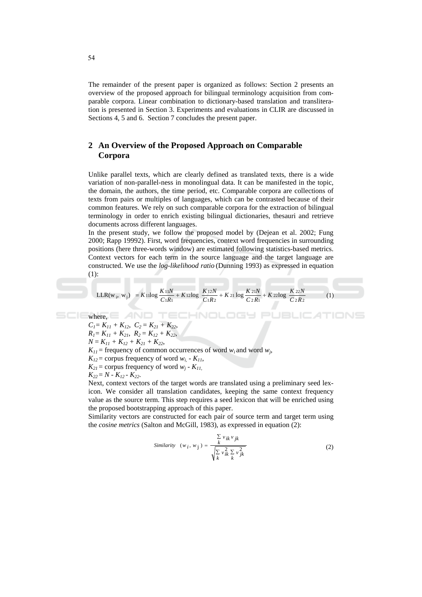The remainder of the present paper is organized as follows: Section 2 presents an overview of the proposed approach for bilingual terminology acquisition from comparable corpora. Linear combination to dictionary-based translation and transliteration is presented in Section 3. Experiments and evaluations in CLIR are discussed in Sections 4, 5 and 6. Section 7 concludes the present paper.

## 2 An Overview of the Proposed Approach on Comparable Corpora

Unlike parallel texts, which are clearly defined as translated texts, there is a wide variation of non-parallel-ness in monolingual data. It can be manifested in the topic, the domain, the authors, the time period, etc. Comparable corpora are collections of texts from pairs or multiples of languages, which can be contrasted because of their common features. We rely on such comparable corpora for the extraction of bilingual terminology in order to enrich existing bilingual dictionaries, the sauri and retrieve documents across different languages.

In the present study, we follow the proposed model by (Dejean et al. 2002; Fung 2000: Rapp 19992). First, word frequencies, context word frequencies in surrounding positions (here three-words window) are estimated following statistics-based metrics. Context vectors for each term in the source language and the target language are constructed. We use the *log-likelihood ratio* (Dunning 1993) as expressed in equation  $(1)$ :

$$
LLR(w_i, w_j) = K1log \frac{K11N}{C1R1} + K12log \frac{K12N}{C1R2} + K21log \frac{K21N}{C2R1} + K22log \frac{K22N}{C2R2}
$$
 (1)

HNOLOGY

 $C_1 = K_{11} + K_{12}$ ,  $C_2 = K_{21} + K_{22}$ ,  $R_1 = K_{11} + K_{21}$ ,  $R_2 = K_{12} + K_{22}$ ,  $N = K_{11} + K_{12} + K_{21} + K_{22}$  $K_{11}$  = frequency of common occurrences of word  $w_i$  and word  $w_i$ ,  $K_{12}$  = corpus frequency of word  $w_i$  -  $K_{11}$ ,  $K_{2I}$  = corpus frequency of word  $w_i$  -  $K_{II}$ ,  $K_{22} = N - K_{12} - K_{22}$ .

AND TEC

Next, context vectors of the target words are translated using a preliminary seed lexicon. We consider all translation candidates, keeping the same context frequency value as the source term. This step requires a seed lexicon that will be enriched using the proposed bootstrapping approach of this paper.

Similarity vectors are constructed for each pair of source term and target term using the *cosine metrics* (Salton and McGill, 1983), as expressed in equation (2):

Similarly 
$$
(w_i, w_j) = \frac{\sum_{k} v_{ik} v_{jk}}{\sqrt{\sum_{k} v_{ik}^2 \sum_{k} v_{jk}^2}}
$$
 (2)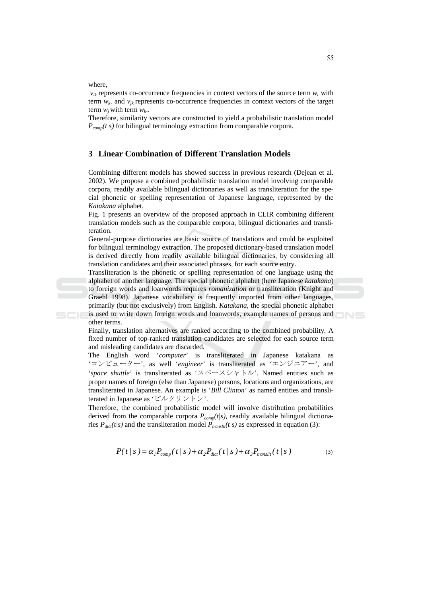where,

SCIE

other terms.

 $v_{ik}$  represents co-occurrence frequencies in context vectors of the source term  $w_i$  with term  $w_k$ , and  $v_{ik}$  represents co-occurrence frequencies in context vectors of the target term  $w_i$  with term  $w_k$ .

Therefore, similarity vectors are constructed to yield a probabilistic translation model  $P_{comp}(t/s)$  for bilingual terminology extraction from comparable corpora.

### 3 Linear Combination of Different Translation Models

Combining different models has showed success in previous research (Dejean et al. 2002). We propose a combined probabilistic translation model involving comparable corpora, readily available bilingual dictionaries as well as transliteration for the special phonetic or spelling representation of Japanese language, represented by the Katakana alphabet.

Fig. 1 presents an overview of the proposed approach in CLIR combining different translation models such as the comparable corpora, bilingual dictionaries and transliteration.

General-purpose dictionaries are basic source of translations and could be exploited for bilingual terminology extraction. The proposed dictionary-based translation model is derived directly from readily available bilingual dictionaries, by considering all translation candidates and their associated phrases, for each source entry.

Transliteration is the phonetic or spelling representation of one language using the alphabet of another language. The special phonetic alphabet (here Japanese katakana) to foreign words and loanwords requires romanization or transliteration (Knight and Graehl 1998). Japanese vocabulary is frequently imported from other languages, primarily (but not exclusively) from English. Katakana, the special phonetic alphabet is used to write down foreign words and loanwords, example names of persons and

Finally, translation alternatives are ranked according to the combined probability. A fixed number of top-ranked translation candidates are selected for each source term and misleading candidates are discarded.

The English word 'computer' is transliterated in Japanese katakana as 'コンピューター', as well 'engineer' is transliterated as 'エンジニアー', and 'space shuttle' is transliterated as ' $\lambda$ <sup>2</sup>  $\lambda$   $\lambda$   $\lambda$   $\lambda$   $\lambda$   $\lambda$ '. Named entities such as proper names of foreign (else than Japanese) persons, locations and organizations, are transliterated in Japanese. An example is 'Bill Clinton' as named entities and transliterated in Japanese as 'ビルクリントン'.

Therefore, the combined probabilistic model will involve distribution probabilities derived from the comparable corpora  $P_{comp}(t|s)$ , readily available bilingual dictionaries  $P_{dict}(t|s)$  and the transliteration model  $\overline{P}_{translit}(t|s)$  as expressed in equation (3):

$$
P(t \mid s) = \alpha_1 P_{comp}(t \mid s) + \alpha_2 P_{dict}(t \mid s) + \alpha_3 P_{translit}(t \mid s)
$$
\n<sup>(3)</sup>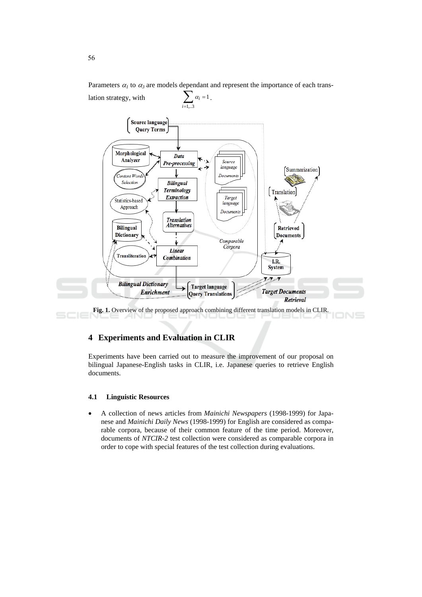

Parameters  $\alpha_1$  to  $\alpha_3$  are models dependent and represent the importance of each trans-

## **4 Experiments and Evaluation in CLIR**

Experiments have been carried out to measure the improvement of our proposal on bilingual Japanese-English tasks in CLIR, i.e. Japanese queries to retrieve English documents.

#### $4.1$ **Linguistic Resources**

A collection of news articles from *Mainichi Newspapers* (1998-1999) for Japanese and Mainichi Daily News (1998-1999) for English are considered as comparable corpora, because of their common feature of the time period. Moreover, documents of NTCIR-2 test collection were considered as comparable corpora in order to cope with special features of the test collection during evaluations.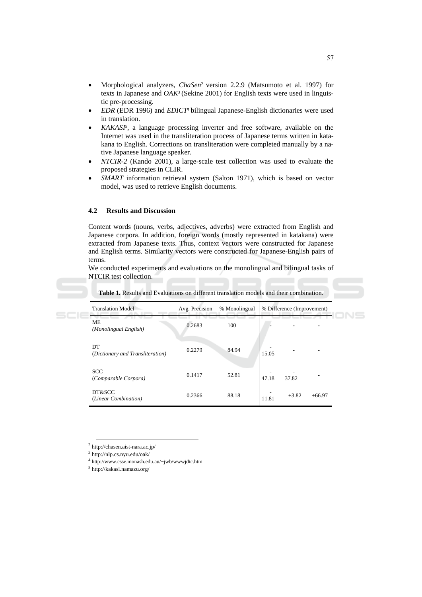- Morphological analyzers, ChaSen<sup>2</sup> version 2.2.9 (Matsumoto et al. 1997) for texts in Japanese and  $OAK^3$  (Sekine 2001) for English texts were used in linguistic pre-processing.
- $EDR$  (EDR 1996) and  $EDICT<sup>4</sup>$  bilingual Japanese-English dictionaries were used in translation.
- KAKASI<sup>5</sup>, a language processing inverter and free software, available on the Internet was used in the transliteration process of Japanese terms written in katakana to English. Corrections on transliteration were completed manually by a native Japanese language speaker.
- NTCIR-2 (Kando 2001), a large-scale test collection was used to evaluate the proposed strategies in CLIR.
- SMART information retrieval system (Salton 1971), which is based on vector model, was used to retrieve English documents.

#### $4.2$ **Results and Discussion**

Content words (nouns, verbs, adjectives, adverbs) were extracted from English and Japanese corpora. In addition, foreign words (mostly represented in katakana) were extracted from Japanese texts. Thus, context vectors were constructed for Japanese and English terms. Similarity vectors were constructed for Japanese-English pairs of terms.

We conducted experiments and evaluations on the monolingual and bilingual tasks of NTCIR test collection.

| <b>Translation Model</b>               | Avg. Precision | % Monolingual | % Difference (Improvement)   |
|----------------------------------------|----------------|---------------|------------------------------|
| ME<br>(Monolingual English)            | 0.2683         | 100           |                              |
| DT<br>(Dictionary and Transliteration) | 0.2279         | 84.94         | 15.05                        |
| <b>SCC</b><br>(Comparable Corpora)     | 0.1417         | 52.81         | 47.18<br>37.82               |
| DT&SCC<br>(Linear Combination)         | 0.2366         | 88.18         | $+3.82$<br>$+66.97$<br>11.81 |

Table 1. Results and Evaluations on different translation models and their combination.

 $2$  http://chasen.aist-nara.ac.jp/

 $3$  http://nlp.cs.nyu.edu/oak/

 $4$  http://www.csse.monash.edu.au/~jwb/wwwjdic.htm

 $^5$ http://kakasi.namazu.org/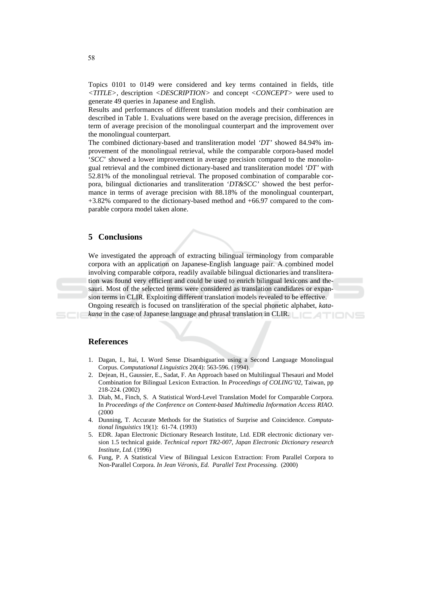Topics 0101 to 0149 were considered and key terms contained in fields, title  $\langle TITLE \rangle$ , description  $\langle DESCRIPTION \rangle$  and concept  $\langle CONCEPT \rangle$  were used to generate 49 queries in Japanese and English.

Results and performances of different translation models and their combination are described in Table 1. Evaluations were based on the average precision, differences in term of average precision of the monolingual counterpart and the improvement over the monolingual counterpart.

The combined dictionary-based and transliteration model 'DT' showed 84.94% improvement of the monolingual retrieval, while the comparable corpora-based model 'SCC' showed a lower improvement in average precision compared to the monolingual retrieval and the combined dictionary-based and transliteration model 'DT' with 52.81% of the monolingual retrieval. The proposed combination of comparable corpora, bilingual dictionaries and transliteration 'DT&SCC' showed the best performance in terms of average precision with 88.18% of the monolingual counterpart,  $+3.82\%$  compared to the dictionary-based method and  $+66.97$  compared to the comparable corpora model taken alone.

#### 5 Conclusions

We investigated the approach of extracting bilingual terminology from comparable corpora with an application on Japanese-English language pair. A combined model involving comparable corpora, readily available bilingual dictionaries and transliteration was found very efficient and could be used to enrich bilingual lexicons and thesauri. Most of the selected terms were considered as translation candidates or expansion terms in CLIR. Exploiting different translation models revealed to be effective. Ongoing research is focused on transliteration of the special phonetic alphabet, katakana in the case of Japanese language and phrasal translation in CLIR.

#### **References**

- 1. Dagan, I., Itai, I. Word Sense Disambiguation using a Second Language Monolingual Corpus. Computational Linguistics 20(4): 563-596. (1994).
- 2. Dejean, H., Gaussier, E., Sadat, F. An Approach based on Multilingual Thesauri and Model Combination for Bilingual Lexicon Extraction. In *Proceedings of COLING'02*, Taiwan, pp 218-224. (2002)
- 3. Diab, M., Finch, S. A Statistical Word-Level Translation Model for Comparable Corpora. In Proceedings of the Conference on Content-based Multimedia Information Access RIAO.  $(2000)$
- 4. Dunning, T. Accurate Methods for the Statistics of Surprise and Coincidence. Computational linguistics 19(1): 61-74. (1993)
- 5. EDR. Japan Electronic Dictionary Research Institute, Ltd. EDR electronic dictionary version 1.5 technical guide. Technical report TR2-007, Japan Electronic Dictionary research Institute, Ltd. (1996)
- 6. Fung, P. A Statistical View of Bilingual Lexicon Extraction: From Parallel Corpora to Non-Parallel Corpora. In Jean Véronis, Ed. Parallel Text Processing. (2000)